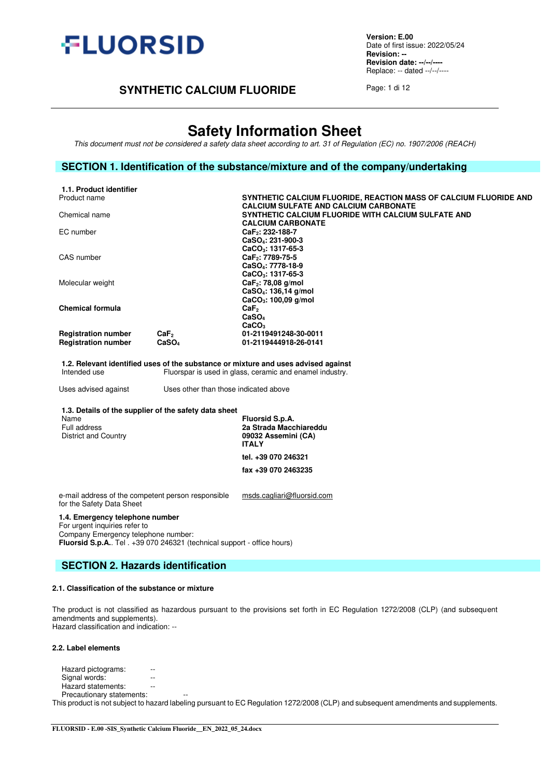

**Version: E.00** Date of first issue: 2022/05/24 **Revision: -- Revision date: --/--/----** Replace: -- dated --/--/----

# **SYNTHETIC CALCIUM FLUORIDE** Page: 1 di 12

# **Safety Information Sheet**

*This document must not be considered a safety data sheet according to art. 31 of Regulation (EC) no. 1907/2006 (REACH)*

## **SECTION 1. Identification of the substance/mixture and of the company/undertaking**

| 1.1. Product identifier    |                   |                                                                   |
|----------------------------|-------------------|-------------------------------------------------------------------|
| Product name               |                   | SYNTHETIC CALCIUM FLUORIDE, REACTION MASS OF CALCIUM FLUORIDE AND |
|                            |                   | <b>CALCIUM SULFATE AND CALCIUM CARBONATE</b>                      |
| Chemical name              |                   | SYNTHETIC CALCIUM FLUORIDE WITH CALCIUM SULFATE AND               |
|                            |                   | <b>CALCIUM CARBONATE</b>                                          |
| EC number                  |                   | CaF <sub>2</sub> : 232-188-7                                      |
|                            |                   | CaSO <sub>4</sub> : 231-900-3                                     |
|                            |                   | CaCO <sub>3</sub> : 1317-65-3                                     |
| CAS number                 |                   | CaF <sub>2</sub> : 7789-75-5                                      |
|                            |                   | CaSO <sub>4</sub> : 7778-18-9                                     |
|                            |                   | $CaCO3: 1317-65-3$                                                |
| Molecular weight           |                   | CaF <sub>2</sub> : 78,08 g/mol                                    |
|                            |                   | CaSO <sub>4</sub> : 136,14 g/mol                                  |
|                            |                   | $CaCO3: 100,09$ g/mol                                             |
| Chemical formula           |                   | CaF <sub>2</sub>                                                  |
|                            |                   | CaSO <sub>4</sub>                                                 |
|                            |                   | CaCO <sub>3</sub>                                                 |
| <b>Registration number</b> | CaF <sub>2</sub>  | 01-2119491248-30-0011                                             |
| <b>Registration number</b> | CaSO <sub>4</sub> | 01-2119444918-26-0141                                             |
|                            |                   |                                                                   |

**1.2. Relevant identified uses of the substance or mixture and uses advised against** Fluorspar is used in glass, ceramic and enamel industry.

Uses advised against Uses other than those indicated above

| 1.3. Details of the supplier of the safety data sheet |                                                                                  |
|-------------------------------------------------------|----------------------------------------------------------------------------------|
| Name<br>Full address<br>District and Country          | Fluorsid S.p.A.<br>2a Strada Macchiareddu<br>09032 Assemini (CA)<br><b>ITALY</b> |
|                                                       | tel. +39 070 246321                                                              |
|                                                       | fax +39 070 2463235                                                              |

e-mail address of the competent person responsible for the Safety Data Sheet [msds.cagliari@fluorsid.com](mailto:msds.cagliari@fluorsid.com) 

#### **1.4. Emergency telephone number**

For urgent inquiries refer to Company Emergency telephone number: **Fluorsid S.p.A.**. Tel . +39 070 246321 (technical support - office hours)

## **SECTION 2. Hazards identification**

#### **2.1. Classification of the substance or mixture**

The product is not classified as hazardous pursuant to the provisions set forth in EC Regulation 1272/2008 (CLP) (and subsequent amendments and supplements). Hazard classification and indication: --

#### **2.2. Label elements**

Hazard pictograms: --Signal words: The set of the set of the set of the set of the set of the set of the set of the set of the set o Hazard statements: --

Precautionary statements:

This product is not subject to hazard labeling pursuant to EC Regulation 1272/2008 (CLP) and subsequent amendments and supplements.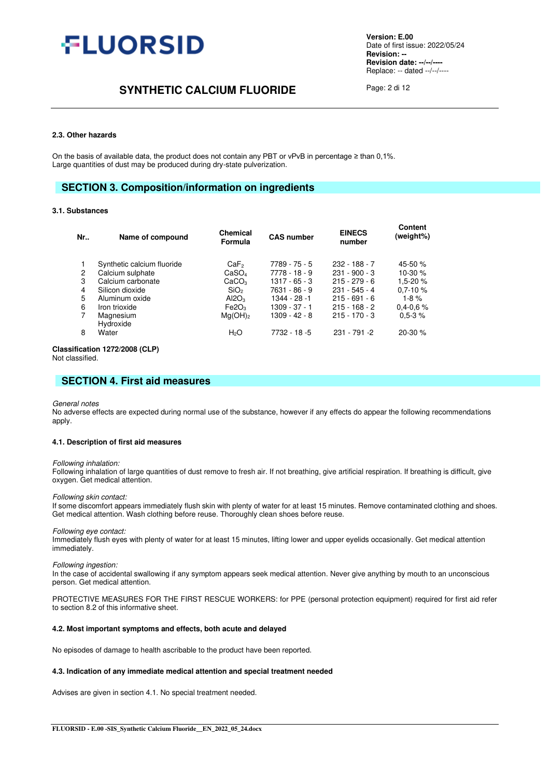

# **SYNTHETIC CALCIUM FLUORIDE** Page: 2 di 12

#### **2.3. Other hazards**

On the basis of available data, the product does not contain any PBT or vPvB in percentage ≥ than 0,1%. Large quantities of dust may be produced during dry-state pulverization.

## **SECTION 3. Composition/information on ingredients**

#### **3.1. Substances**

| Nr | Name of compound           | <b>Chemical</b><br>Formula | <b>CAS number</b> | <b>EINECS</b><br>number | <b>Content</b><br>(weight%) |
|----|----------------------------|----------------------------|-------------------|-------------------------|-----------------------------|
| 1  | Synthetic calcium fluoride | CaF <sub>2</sub>           | 7789 - 75 - 5     | $232 - 188 - 7$         | 45-50 $%$                   |
| 2  | Calcium sulphate           | CaSO <sub>4</sub>          | 7778 - 18 - 9     | $231 - 900 - 3$         | 10-30 $%$                   |
| 3  | Calcium carbonate          | CaCO <sub>3</sub>          | $1317 - 65 - 3$   | $215 - 279 - 6$         | $1.5 - 20%$                 |
| 4  | Silicon dioxide            | SiO <sub>2</sub>           | 7631 - 86 - 9     | $231 - 545 - 4$         | $0.7 - 10 \%$               |
| 5  | Aluminum oxide             | AI2O <sub>3</sub>          | 1344 - 28 -1      | $215 - 691 - 6$         | $1-8%$                      |
| 6  | Iron trioxide              | Fe2O <sub>3</sub>          | $1309 - 37 - 1$   | $215 - 168 - 2$         | $0.4 - 0.6 \%$              |
| 7  | Magnesium<br>Hydroxide     | $Ma(OH)_{2}$               | $1309 - 42 - 8$   | $215 - 170 - 3$         | $0.5 - 3 \%$                |
| 8  | Water                      | H <sub>2</sub> O           | $7732 - 18 - 5$   | $231 - 791 - 2$         | $20-30%$                    |

#### **Classification 1272/2008 (CLP)**

Not classified.

## **SECTION 4. First aid measures**

#### *General notes*

No adverse effects are expected during normal use of the substance, however if any effects do appear the following recommendations apply.

#### **4.1. Description of first aid measures**

#### *Following inhalation:*

Following inhalation of large quantities of dust remove to fresh air. If not breathing, give artificial respiration. If breathing is difficult, give oxygen. Get medical attention.

#### *Following skin contact:*

If some discomfort appears immediately flush skin with plenty of water for at least 15 minutes. Remove contaminated clothing and shoes. Get medical attention. Wash clothing before reuse. Thoroughly clean shoes before reuse.

#### *Following eye contact:*

Immediately flush eyes with plenty of water for at least 15 minutes, lifting lower and upper eyelids occasionally. Get medical attention immediately.

#### *Following ingestion:*

In the case of accidental swallowing if any symptom appears seek medical attention. Never give anything by mouth to an unconscious person. Get medical attention.

PROTECTIVE MEASURES FOR THE FIRST RESCUE WORKERS: for PPE (personal protection equipment) required for first aid refer to section 8.2 of this informative sheet.

#### **4.2. Most important symptoms and effects, both acute and delayed**

No episodes of damage to health ascribable to the product have been reported.

#### **4.3. Indication of any immediate medical attention and special treatment needed**

Advises are given in section 4.1. No special treatment needed.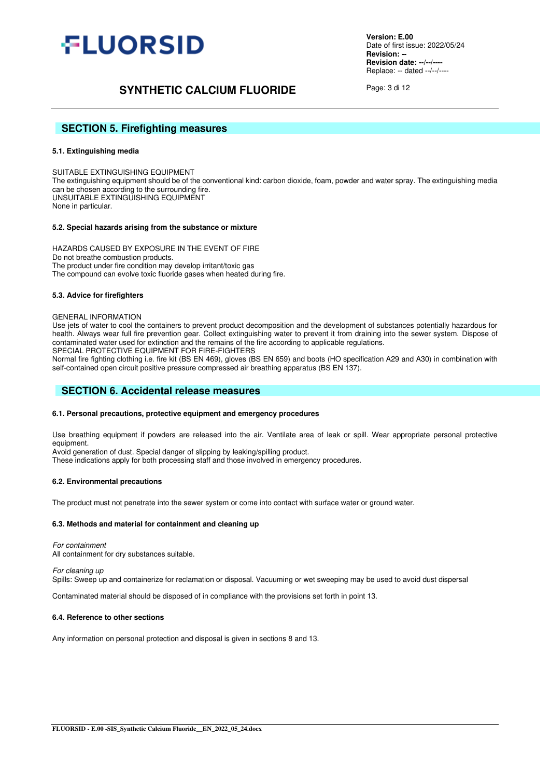

# **SYNTHETIC CALCIUM FLUORIDE** Page: 3 di 12

## **SECTION 5. Firefighting measures**

#### **5.1. Extinguishing media**

SUITABLE EXTINGUISHING EQUIPMENT The extinguishing equipment should be of the conventional kind: carbon dioxide, foam, powder and water spray. The extinguishing media can be chosen according to the surrounding fire. UNSUITABLE EXTINGUISHING EQUIPMENT None in particular.

#### **5.2. Special hazards arising from the substance or mixture**

HAZARDS CAUSED BY EXPOSURE IN THE EVENT OF FIRE Do not breathe combustion products. The product under fire condition may develop irritant/toxic gas The compound can evolve toxic fluoride gases when heated during fire.

#### **5.3. Advice for firefighters**

#### GENERAL INFORMATION

Use jets of water to cool the containers to prevent product decomposition and the development of substances potentially hazardous for health. Always wear full fire prevention gear. Collect extinguishing water to prevent it from draining into the sewer system. Dispose of contaminated water used for extinction and the remains of the fire according to applicable regulations. SPECIAL PROTECTIVE EQUIPMENT FOR FIRE-FIGHTERS

Normal fire fighting clothing i.e. fire kit (BS EN 469), gloves (BS EN 659) and boots (HO specification A29 and A30) in combination with self-contained open circuit positive pressure compressed air breathing apparatus (BS EN 137).

## **SECTION 6. Accidental release measures**

#### **6.1. Personal precautions, protective equipment and emergency procedures**

Use breathing equipment if powders are released into the air. Ventilate area of leak or spill. Wear appropriate personal protective equipment.

Avoid generation of dust. Special danger of slipping by leaking/spilling product.

These indications apply for both processing staff and those involved in emergency procedures.

#### **6.2. Environmental precautions**

The product must not penetrate into the sewer system or come into contact with surface water or ground water.

#### **6.3. Methods and material for containment and cleaning up**

*For containment*  All containment for dry substances suitable.

*For cleaning up* 

Spills: Sweep up and containerize for reclamation or disposal. Vacuuming or wet sweeping may be used to avoid dust dispersal

Contaminated material should be disposed of in compliance with the provisions set forth in point 13.

#### **6.4. Reference to other sections**

Any information on personal protection and disposal is given in sections 8 and 13.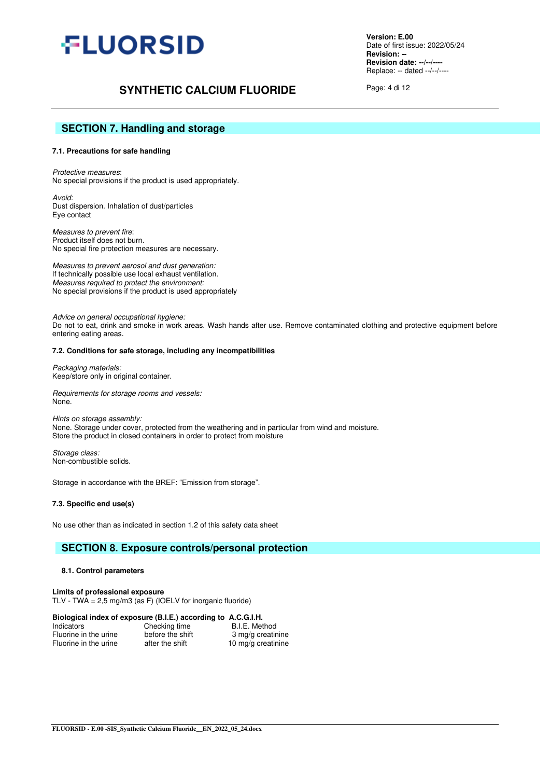

# **SYNTHETIC CALCIUM FLUORIDE** Page: 4 di 12

## **SECTION 7. Handling and storage**

#### **7.1. Precautions for safe handling**

*Protective measures*: No special provisions if the product is used appropriately.

*Avoid:*  Dust dispersion. Inhalation of dust/particles Eye contact

 *Measures to prevent fire*: Product itself does not burn. No special fire protection measures are necessary.

*Measures to prevent aerosol and dust generation:*  If technically possible use local exhaust ventilation. *Measures required to protect the environment:*  No special provisions if the product is used appropriately

*Advice on general occupational hygiene:*  Do not to eat, drink and smoke in work areas. Wash hands after use. Remove contaminated clothing and protective equipment before entering eating areas.

#### **7.2. Conditions for safe storage, including any incompatibilities**

*Packaging materials:*  Keep/store only in original container.

*Requirements for storage rooms and vessels:*  None.

*Hints on storage assembly:*  None. Storage under cover, protected from the weathering and in particular from wind and moisture. Store the product in closed containers in order to protect from moisture

*Storage class:*  Non-combustible solids.

Storage in accordance with the BREF: "Emission from storage".

**7.3. Specific end use(s)** 

No use other than as indicated in section 1.2 of this safety data sheet

## **SECTION 8. Exposure controls/personal protection**

#### **8.1. Control parameters**

**Limits of professional exposure**  TLV - TWA = 2,5 mg/m3 (as F) (IOELV for inorganic fluoride)

#### **Biological index of exposure (B.I.E.) according to A.C.G.I.H.**

| Indicators            | Checking time    | B.I.E. Method      |
|-----------------------|------------------|--------------------|
| Fluorine in the urine | before the shift | 3 mg/g creatinine  |
| Fluorine in the urine | after the shift  | 10 mg/g creatinine |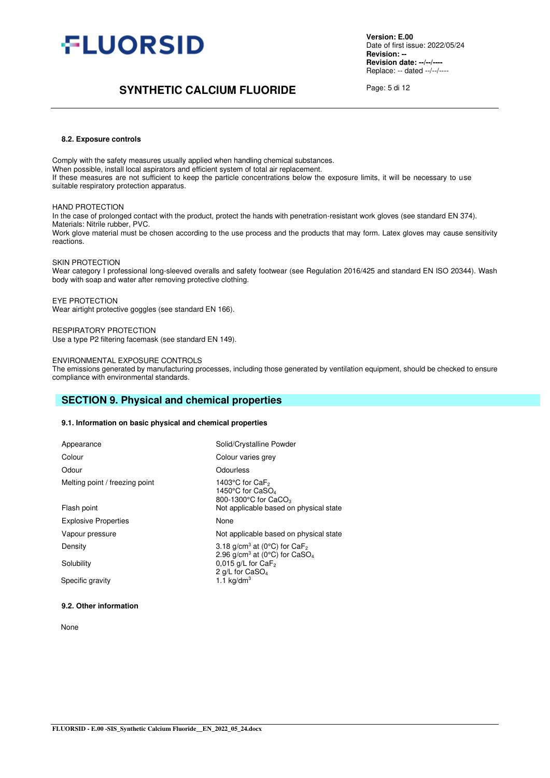

# **SYNTHETIC CALCIUM FLUORIDE** Page: 5 di 12

#### **8.2. Exposure controls**

Comply with the safety measures usually applied when handling chemical substances. When possible, install local aspirators and efficient system of total air replacement. If these measures are not sufficient to keep the particle concentrations below the exposure limits, it will be necessary to use suitable respiratory protection apparatus.

#### HAND PROTECTION

In the case of prolonged contact with the product, protect the hands with penetration-resistant work gloves (see standard EN 374). Materials: Nitrile rubber, PVC.

Work glove material must be chosen according to the use process and the products that may form. Latex gloves may cause sensitivity reactions.

#### SKIN PROTECTION

Wear category I professional long-sleeved overalls and safety footwear (see Regulation 2016/425 and standard EN ISO 20344). Wash body with soap and water after removing protective clothing.

EYE PROTECTION Wear airtight protective goggles (see standard EN 166).

RESPIRATORY PROTECTION Use a type P2 filtering facemask (see standard EN 149).

#### ENVIRONMENTAL EXPOSURE CONTROLS

The emissions generated by manufacturing processes, including those generated by ventilation equipment, should be checked to ensure compliance with environmental standards.

## **SECTION 9. Physical and chemical properties**

#### **9.1. Information on basic physical and chemical properties**

| Appearance                     | Solid/Crystalline Powder                                                                        |
|--------------------------------|-------------------------------------------------------------------------------------------------|
| Colour                         | Colour varies grey                                                                              |
| Odour                          | Odourless                                                                                       |
| Melting point / freezing point | 1403°C for CaF <sub>2</sub><br>1450°C for CaSO <sub>4</sub><br>800-1300°C for CaCO <sub>3</sub> |
| Flash point                    | Not applicable based on physical state                                                          |
| <b>Explosive Properties</b>    | None                                                                                            |
| Vapour pressure                | Not applicable based on physical state                                                          |
| Density                        | 3.18 $q/cm^3$ at (0°C) for CaF <sub>2</sub><br>2.96 $q/cm^3$ at (0°C) for CaSO <sub>4</sub>     |
| Solubility                     | $0.015$ g/L for CaF <sub>2</sub><br>2 g/L for CaSO <sub>4</sub>                                 |
| Specific gravity               | 1.1 $kg/dm3$                                                                                    |

#### **9.2. Other information**

None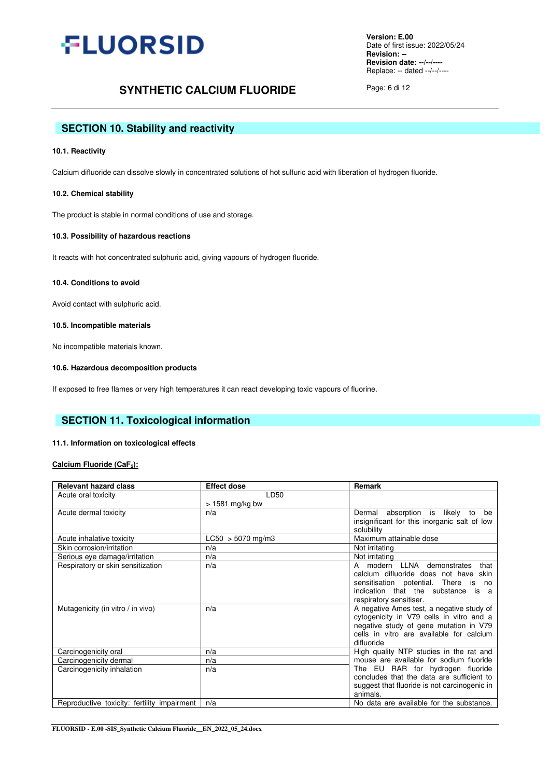

# **SYNTHETIC CALCIUM FLUORIDE** Page: 6 di 12

# **SECTION 10. Stability and reactivity**

#### **10.1. Reactivity**

Calcium difluoride can dissolve slowly in concentrated solutions of hot sulfuric acid with liberation of hydrogen fluoride.

#### **10.2. Chemical stability**

The product is stable in normal conditions of use and storage.

#### **10.3. Possibility of hazardous reactions**

It reacts with hot concentrated sulphuric acid, giving vapours of hydrogen fluoride.

#### **10.4. Conditions to avoid**

Avoid contact with sulphuric acid.

#### **10.5. Incompatible materials**

No incompatible materials known.

#### **10.6. Hazardous decomposition products**

If exposed to free flames or very high temperatures it can react developing toxic vapours of fluorine.

## **SECTION 11. Toxicological information**

#### **11.1. Information on toxicological effects**

#### **Calcium Fluoride (CaF2):**

| <b>Relevant hazard class</b>                | <b>Effect dose</b>  | Remark                                       |
|---------------------------------------------|---------------------|----------------------------------------------|
| Acute oral toxicity                         | LD50                |                                              |
|                                             | $> 1581$ mg/kg bw   |                                              |
| Acute dermal toxicity                       | n/a                 | Dermal absorption is likely to<br>be         |
|                                             |                     | insignificant for this inorganic salt of low |
|                                             |                     | solubility                                   |
| Acute inhalative toxicity                   | $LC50 > 5070$ mg/m3 | Maximum attainable dose                      |
| Skin corrosion/irritation                   | n/a                 | Not irritating                               |
| Serious eye damage/irritation               | n/a                 | Not irritating                               |
| Respiratory or skin sensitization           | n/a                 | modern LLNA<br>demonstrates<br>that<br>A     |
|                                             |                     | calcium difluoride does not have<br>skin     |
|                                             |                     | sensitisation potential. There is<br>no      |
|                                             |                     | indication that the substance is a           |
|                                             |                     | respiratory sensitiser.                      |
| Mutagenicity (in vitro / in vivo)           | n/a                 | A negative Ames test, a negative study of    |
|                                             |                     | cytogenicity in V79 cells in vitro and a     |
|                                             |                     | negative study of gene mutation in V79       |
|                                             |                     | cells in vitro are available for calcium     |
|                                             |                     | difluoride                                   |
| Carcinogenicity oral                        | n/a                 | High quality NTP studies in the rat and      |
| Carcinogenicity dermal                      | n/a                 | mouse are available for sodium fluoride      |
| Carcinogenicity inhalation                  | n/a                 | The EU RAR for hydrogen fluoride             |
|                                             |                     | concludes that the data are sufficient to    |
|                                             |                     | suggest that fluoride is not carcinogenic in |
|                                             |                     | animals.                                     |
| Reproductive toxicity: fertility impairment | n/a                 | No data are available for the substance,     |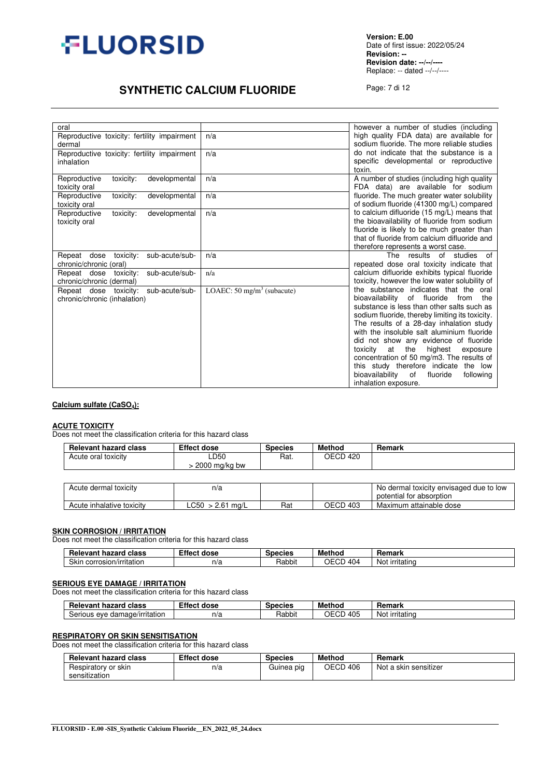

**Version: E.00** Date of first issue: 2022/05/24 **Revision: -- Revision date: --/--/----** Replace: -- dated --/--/----

# **SYNTHETIC CALCIUM FLUORIDE** Page: 7 di 12

| oral                                                                   |                                       | however a number of studies (including                                                                                                                                                                                                                                                                                                                                                                                                                                                                                                     |
|------------------------------------------------------------------------|---------------------------------------|--------------------------------------------------------------------------------------------------------------------------------------------------------------------------------------------------------------------------------------------------------------------------------------------------------------------------------------------------------------------------------------------------------------------------------------------------------------------------------------------------------------------------------------------|
| Reproductive toxicity: fertility impairment<br>dermal                  | n/a                                   | high quality FDA data) are available for<br>sodium fluoride. The more reliable studies                                                                                                                                                                                                                                                                                                                                                                                                                                                     |
| Reproductive toxicity: fertility impairment<br>inhalation              | n/a                                   | do not indicate that the substance is a<br>specific developmental or reproductive<br>toxin.                                                                                                                                                                                                                                                                                                                                                                                                                                                |
| Reproductive<br>developmental<br>toxicity:<br>toxicity oral            | n/a                                   | A number of studies (including high quality<br>FDA data) are available for sodium                                                                                                                                                                                                                                                                                                                                                                                                                                                          |
| Reproductive<br>toxicity:<br>developmental<br>toxicity oral            | n/a                                   | fluoride. The much greater water solubility<br>of sodium fluoride (41300 mg/L) compared                                                                                                                                                                                                                                                                                                                                                                                                                                                    |
| Reproductive<br>toxicity:<br>developmental<br>toxicity oral            | n/a                                   | to calcium difluoride (15 mg/L) means that<br>the bioavailability of fluoride from sodium<br>fluoride is likely to be much greater than<br>that of fluoride from calcium difluoride and<br>therefore represents a worst case.                                                                                                                                                                                                                                                                                                              |
| Repeat dose<br>toxicity:<br>sub-acute/sub-<br>chronic/chronic (oral)   | n/a                                   | The results of studies of<br>repeated dose oral toxicity indicate that                                                                                                                                                                                                                                                                                                                                                                                                                                                                     |
| sub-acute/sub-<br>Repeat dose<br>toxicity:<br>chronic/chronic (dermal) | n/a                                   | calcium difluoride exhibits typical fluoride<br>toxicity, however the low water solubility of                                                                                                                                                                                                                                                                                                                                                                                                                                              |
| Repeat dose toxicity: sub-acute/sub-<br>chronic/chronic (inhalation)   | LOAEC: $50 \text{ mg/m}^3$ (subacute) | the substance indicates that the oral<br>of fluoride<br>bioavailability<br>from<br>the<br>substance is less than other salts such as<br>sodium fluoride, thereby limiting its toxicity.<br>The results of a 28-day inhalation study<br>with the insoluble salt aluminium fluoride<br>did not show any evidence of fluoride<br>the<br>toxicity<br>at<br>highest<br>exposure<br>concentration of 50 mg/m3. The results of<br>this study therefore indicate the low<br>bioavailability<br>of<br>fluoride<br>following<br>inhalation exposure. |

#### **Calcium sulfate (CaSO4):**

# **ACUTE TOXICITY**

Does not meet the classification criteria for this hazard class

| <b>Relevant hazard class</b> | <b>Effect dose</b>    | <b>Species</b> | <b>Method</b> | Remark |
|------------------------------|-----------------------|----------------|---------------|--------|
| Acute oral toxicity          | LD50<br>2000 mg/kg bw | Rat.           | OECD 420      |        |
|                              |                       |                |               |        |

| Acute dermal toxicity     | n/a                             |     |               | No dermal toxicity envisaged due to low<br>potential for absorption |
|---------------------------|---------------------------------|-----|---------------|---------------------------------------------------------------------|
| Acute inhalative toxicity | LC50<br>$2.6^{\degree}$<br>ma/L | Rat | OECD<br>403 ہ | Maximum attainable dose                                             |

#### **SKIN CORROSION / IRRITATION**

Does not meet the classification criteria for this hazard class

| <br>evan<br>hozord<br>יומ<br>class<br>naz<br>neic<br>- kan ⊾ | ™ffe⊾<br>dose | <b>Species</b> | <b>Methoc</b>            | Remark<br>iliai N  |
|--------------------------------------------------------------|---------------|----------------|--------------------------|--------------------|
| Skir<br>. corrosion/irritation                               | n!<br>11/d    | Rabbit         | ገF<br>$\sim$<br>404<br>. | Noi<br>∶ırrıtatınq |

## **SERIOUS EYE DAMAGE / IRRITATION**

Does not meet the classification criteria for this hazard class

| <b>Relevant hazard</b><br>class               | <b>Effect dose</b> | <b>Species</b> | <b>Method</b>              | Remark              |
|-----------------------------------------------|--------------------|----------------|----------------------------|---------------------|
| . .<br>damage/irritation<br>serious of<br>eve | n/a                | Rabbit         | $\sim$<br>OΕ<br>405<br>ືບ⊳ | .<br>Not irritating |

#### **RESPIRATORY OR SKIN SENSITISATION**

Does not meet the classification criteria for this hazard class

| <b>Relevant hazard class</b> | <b>Effect dose</b> | <b>Species</b> | Method   | Remark                |
|------------------------------|--------------------|----------------|----------|-----------------------|
| Respiratory or skin          | n/a                | Guinea pig     | OECD 406 | Not a skin sensitizer |
| sensitization                |                    |                |          |                       |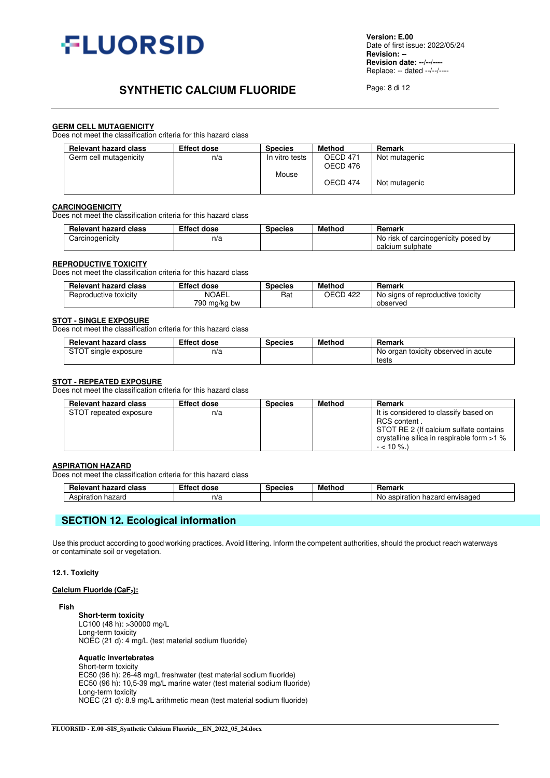

# **SYNTHETIC CALCIUM FLUORIDE** Page: 8 di 12

#### **GERM CELL MUTAGENICITY**

Does not meet the classification criteria for this hazard class

| <b>Relevant hazard class</b> | <b>Effect dose</b> | <b>Species</b> | Method   | Remark        |
|------------------------------|--------------------|----------------|----------|---------------|
| Germ cell mutagenicity       | n/a                | In vitro tests | OECD 471 | Not mutagenic |
|                              |                    |                | OECD 476 |               |
|                              |                    | Mouse          |          |               |
|                              |                    |                | OECD 474 | Not mutagenic |
|                              |                    |                |          |               |

#### **CARCINOGENICITY**

Does not meet the classification criteria for this hazard class

| <b>Relevant hazard class</b> | <b>Effect dose</b> |  | Method | Remark                                  |
|------------------------------|--------------------|--|--------|-----------------------------------------|
| Carcinogenicity              | n/a                |  |        | risk of carcinogenicity posed by<br>No. |
|                              |                    |  |        | calcium sulphate                        |

#### **REPRODUCTIVE TOXICITY**

Does not meet the classification criteria for this hazard class

| <b>Relevant hazard class</b><br><b>Effect dose</b> |              | <b>Species</b> | Method   | Remark                            |
|----------------------------------------------------|--------------|----------------|----------|-----------------------------------|
| Reproductive toxicity                              | <b>NOAEL</b> | Rat            | OECD 422 | No signs of reproductive toxicity |
|                                                    | 790 ma/ka bw |                |          | observed                          |

#### **STOT - SINGLE EXPOSURE**

Does not meet the classification criteria for this hazard class

| <b>Effect dose</b><br><b>Relevant hazard class</b> |     | <b>Species</b> | Method | Remark                              |  |  |
|----------------------------------------------------|-----|----------------|--------|-------------------------------------|--|--|
| <b>STOT</b><br>single exposure                     | n/a |                |        | No organ toxicity observed in acute |  |  |
|                                                    |     |                |        | tests                               |  |  |

#### **STOT - REPEATED EXPOSURE**

Does not meet the classification criteria for this hazard class

| <b>Relevant hazard class</b> | <b>Effect dose</b> | <b>Species</b> | <b>Method</b> | Remark                                                                                                                                                        |
|------------------------------|--------------------|----------------|---------------|---------------------------------------------------------------------------------------------------------------------------------------------------------------|
| STOT repeated exposure       | n/a                |                |               | It is considered to classify based on<br>RCS content.<br>STOT RE 2 (If calcium sulfate contains<br>crystalline silica in respirable form >1 %<br>$-$ < 10 %.) |

#### **ASPIRATION HAZARD**

Does not meet the classification criteria for this hazard class

| <b>Relevant</b><br>hozord<br>class<br>naz<br>*ar⊾ | -11.<br>dose<br>.пе | Species | <b>Method</b> | Remark                                                      |
|---------------------------------------------------|---------------------|---------|---------------|-------------------------------------------------------------|
| hazaro<br>∆er<br>----<br>spiration                | ' 1/ C.             |         |               | ----<br>nvisaded<br>Νc<br>aspiratio<br>ıd/<br>∽<br>u<br>. . |

# **SECTION 12. Ecological information**

Use this product according to good working practices. Avoid littering. Inform the competent authorities, should the product reach waterways or contaminate soil or vegetation.

#### **12.1. Toxicity**

#### **Calcium Fluoride (CaF2):**

#### **Fish**

**Short-term toxicity**  LC100 (48 h): >30000 mg/L Long-term toxicity NOEC (21 d): 4 mg/L (test material sodium fluoride)

#### **Aquatic invertebrates**

Short-term toxicity EC50 (96 h): 26-48 mg/L freshwater (test material sodium fluoride) EC50 (96 h): 10,5-39 mg/L marine water (test material sodium fluoride) Long-term toxicity NOEC (21 d): 8.9 mg/L arithmetic mean (test material sodium fluoride)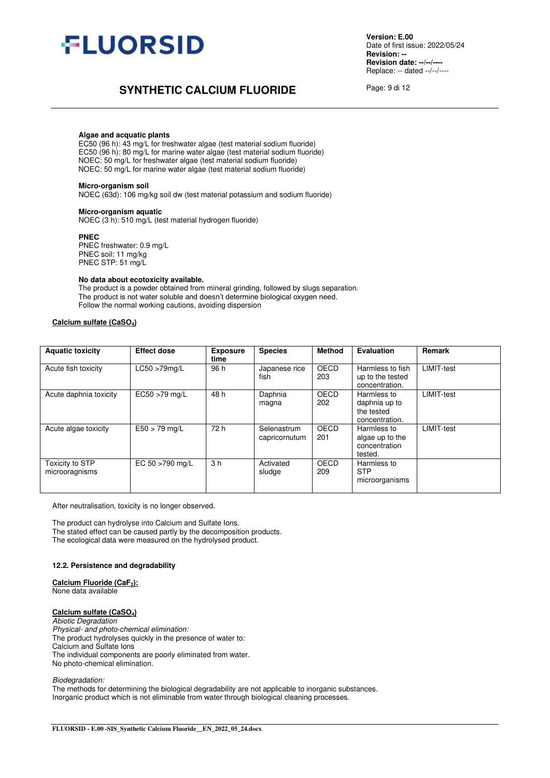

# **SYNTHETIC CALCIUM FLUORIDE** Page: 9 di 12

#### **Algae and acquatic plants**

 EC50 (96 h): 43 mg/L for freshwater algae (test material sodium fluoride) EC50 (96 h): 80 mg/L for marine water algae (test material sodium fluoride) NOEC: 50 mg/L for freshwater algae (test material sodium fluoride) NOEC: 50 mg/L for marine water algae (test material sodium fluoride)

#### **Micro-organism soil**

NOEC (63d): 106 mg/kg soil dw (test material potassium and sodium fluoride)

#### **Micro-organism aquatic**

NOEC (3 h): 510 mg/L (test material hydrogen fluoride)

#### **PNEC**

PNEC freshwater: 0.9 mg/L PNEC soil: 11 mg/kg PNEC STP: 51 mg/L

#### **No data about ecotoxicity available.**

The product is a powder obtained from mineral grinding, followed by slugs separation. The product is not water soluble and doesn't determine biological oxygen need. Follow the normal working cautions, avoiding dispersion

#### **Calcium sulfate (CaSO4)**

| <b>Aquatic toxicity</b>                  | <b>Effect dose</b> | <b>Exposure</b><br>time | <b>Species</b>               | <b>Method</b> | <b>Evaluation</b>                                            | Remark            |
|------------------------------------------|--------------------|-------------------------|------------------------------|---------------|--------------------------------------------------------------|-------------------|
| Acute fish toxicity                      | $LC50 > 79$ mg/L   | 96 h                    | Japanese rice<br>fish        | OECD<br>203   | Harmless to fish<br>up to the tested<br>concentration.       | <b>LIMIT-test</b> |
| Acute daphnia toxicity                   | EC50 >79 mg/L      | 48 h                    | Daphnia<br>magna             | OECD<br>202   | Harmless to<br>daphnia up to<br>the tested<br>concentration. | LIMIT-test        |
| Acute algae toxicity                     | $E50 > 79$ mg/L    | 72 h                    | Selenastrum<br>capricornutum | OECD<br>201   | Harmless to<br>algae up to the<br>concentration<br>tested.   | <b>LIMIT-test</b> |
| <b>Toxicity to STP</b><br>microoragnisms | EC 50 >790 mg/L    | 3 <sub>h</sub>          | Activated<br>sludge          | OECD<br>209   | Harmless to<br><b>STP</b><br>microorganisms                  |                   |

After neutralisation, toxicity is no longer observed.

The product can hydrolyse into Calcium and Sulfate Ions. The stated effect can be caused partly by the decomposition products. The ecological data were measured on the hydrolysed product.

#### **12.2. Persistence and degradability**

**Calcium Fluoride (CaF2):** None data available

# **Calcium sulfate (CaSO4)**

*Abiotic Degradation* 

*Physical- and photo-chemical elimination:*  The product hydrolyses quickly in the presence of water to: Calcium and Sulfate Ions The individual components are poorly eliminated from water. No photo-chemical elimination.

*Biodegradation:* 

The methods for determining the biological degradability are not applicable to inorganic substances. Inorganic product which is not eliminable from water through biological cleaning processes.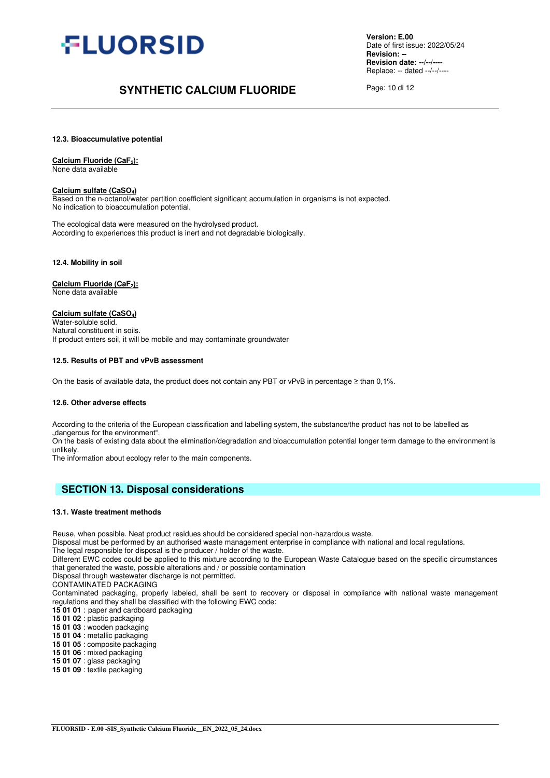

# **SYNTHETIC CALCIUM FLUORIDE** Page: 10 di 12

**12.3. Bioaccumulative potential** 

**Calcium Fluoride (CaF2):**

None data available

#### **Calcium sulfate (CaSO4)**

Based on the n-octanol/water partition coefficient significant accumulation in organisms is not expected. No indication to bioaccumulation potential.

The ecological data were measured on the hydrolysed product. According to experiences this product is inert and not degradable biologically.

**12.4. Mobility in soil** 

**Calcium Fluoride (CaF2):** None data available

**Calcium sulfate (CaSO4)**

Water-soluble solid. Natural constituent in soils. If product enters soil, it will be mobile and may contaminate groundwater

#### **12.5. Results of PBT and vPvB assessment**

On the basis of available data, the product does not contain any PBT or vPvB in percentage ≥ than 0,1%.

#### **12.6. Other adverse effects**

According to the criteria of the European classification and labelling system, the substance/the product has not to be labelled as "dangerous for the environment".

On the basis of existing data about the elimination/degradation and bioaccumulation potential longer term damage to the environment is unlikely.

The information about ecology refer to the main components.

## **SECTION 13. Disposal considerations**

#### **13.1. Waste treatment methods**

Reuse, when possible. Neat product residues should be considered special non-hazardous waste.

Disposal must be performed by an authorised waste management enterprise in compliance with national and local regulations.

The legal responsible for disposal is the producer / holder of the waste.

Different EWC codes could be applied to this mixture according to the European Waste Catalogue based on the specific circumstances that generated the waste, possible alterations and / or possible contamination

Disposal through wastewater discharge is not permitted.

CONTAMINATED PACKAGING

Contaminated packaging, properly labeled, shall be sent to recovery or disposal in compliance with national waste management regulations and they shall be classified with the following EWC code:

**15 01 01** : paper and cardboard packaging

**15 01 02** : plastic packaging

**15 01 03** : wooden packaging

**15 01 04** : metallic packaging

**15 01 05** : composite packaging

**15 01 06** : mixed packaging

**15 01 07** : glass packaging

**15 01 09** : textile packaging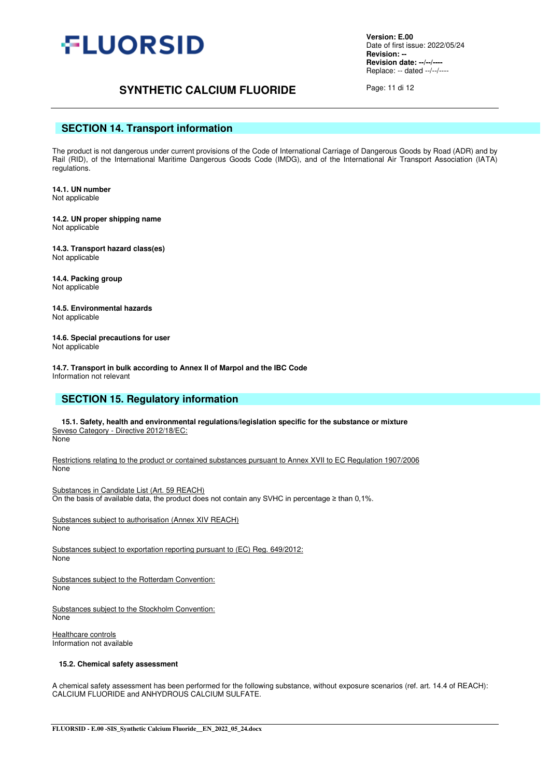

# **SYNTHETIC CALCIUM FLUORIDE** Page: 11 di 12

## **SECTION 14. Transport information**

The product is not dangerous under current provisions of the Code of International Carriage of Dangerous Goods by Road (ADR) and by Rail (RID), of the International Maritime Dangerous Goods Code (IMDG), and of the International Air Transport Association (IATA) regulations.

**14.1. UN number**  Not applicable

**14.2. UN proper shipping name**  Not applicable

**14.3. Transport hazard class(es)**  Not applicable

**14.4. Packing group**  Not applicable

**14.5. Environmental hazards**  Not applicable

**14.6. Special precautions for user**  Not applicable

**14.7. Transport in bulk according to Annex II of Marpol and the IBC Code**  Information not relevant

## **SECTION 15. Regulatory information**

**15.1. Safety, health and environmental regulations/legislation specific for the substance or mixture** Seveso Category - Directive 2012/18/EC: None

Restrictions relating to the product or contained substances pursuant to Annex XVII to EC Regulation 1907/2006 None

Substances in Candidate List (Art. 59 REACH) On the basis of available data, the product does not contain any SVHC in percentage  $\geq$  than 0,1%.

Substances subject to authorisation (Annex XIV REACH) None

Substances subject to exportation reporting pursuant to (EC) Reg. 649/2012: None

Substances subject to the Rotterdam Convention: None

Substances subject to the Stockholm Convention: **None** 

Healthcare controls Information not available

#### **15.2. Chemical safety assessment**

A chemical safety assessment has been performed for the following substance, without exposure scenarios (ref. art. 14.4 of REACH): CALCIUM FLUORIDE and ANHYDROUS CALCIUM SULFATE.